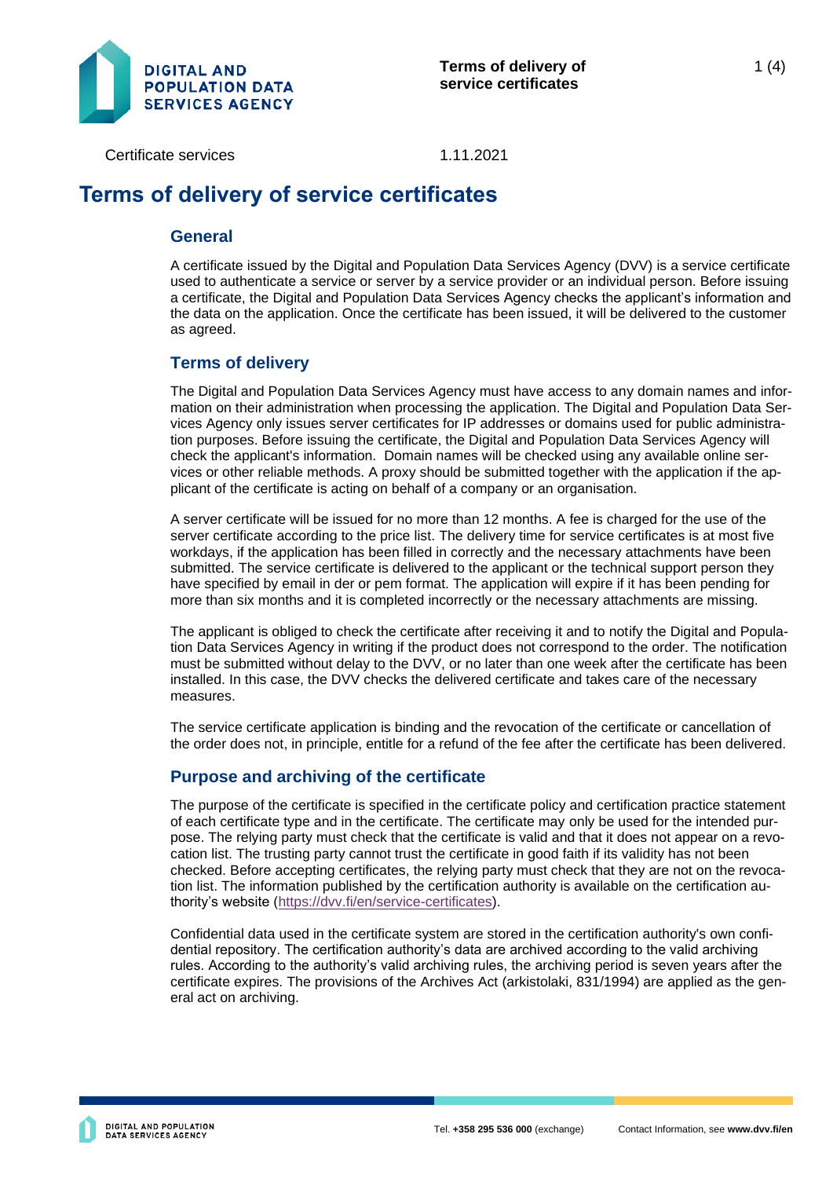

Certificate services 1.11.2021

# **Terms of delivery of service certificates**

#### **General**

A certificate issued by the Digital and Population Data Services Agency (DVV) is a service certificate used to authenticate a service or server by a service provider or an individual person. Before issuing a certificate, the Digital and Population Data Services Agency checks the applicant's information and the data on the application. Once the certificate has been issued, it will be delivered to the customer as agreed.

### **Terms of delivery**

The Digital and Population Data Services Agency must have access to any domain names and information on their administration when processing the application. The Digital and Population Data Services Agency only issues server certificates for IP addresses or domains used for public administration purposes. Before issuing the certificate, the Digital and Population Data Services Agency will check the applicant's information. Domain names will be checked using any available online services or other reliable methods. A proxy should be submitted together with the application if the applicant of the certificate is acting on behalf of a company or an organisation.

A server certificate will be issued for no more than 12 months. A fee is charged for the use of the server certificate according to the price list. The delivery time for service certificates is at most five workdays, if the application has been filled in correctly and the necessary attachments have been submitted. The service certificate is delivered to the applicant or the technical support person they have specified by email in der or pem format. The application will expire if it has been pending for more than six months and it is completed incorrectly or the necessary attachments are missing.

The applicant is obliged to check the certificate after receiving it and to notify the Digital and Population Data Services Agency in writing if the product does not correspond to the order. The notification must be submitted without delay to the DVV, or no later than one week after the certificate has been installed. In this case, the DVV checks the delivered certificate and takes care of the necessary measures.

The service certificate application is binding and the revocation of the certificate or cancellation of the order does not, in principle, entitle for a refund of the fee after the certificate has been delivered.

## **Purpose and archiving of the certificate**

The purpose of the certificate is specified in the certificate policy and certification practice statement of each certificate type and in the certificate. The certificate may only be used for the intended purpose. The relying party must check that the certificate is valid and that it does not appear on a revocation list. The trusting party cannot trust the certificate in good faith if its validity has not been checked. Before accepting certificates, the relying party must check that they are not on the revocation list. The information published by the certification authority is available on the certification authority's website [\(https://dvv.fi/en/service-certificates\)](https://dvv.fi/en/service-certificates).

Confidential data used in the certificate system are stored in the certification authority's own confidential repository. The certification authority's data are archived according to the valid archiving rules. According to the authority's valid archiving rules, the archiving period is seven years after the certificate expires. The provisions of the Archives Act (arkistolaki, 831/1994) are applied as the general act on archiving.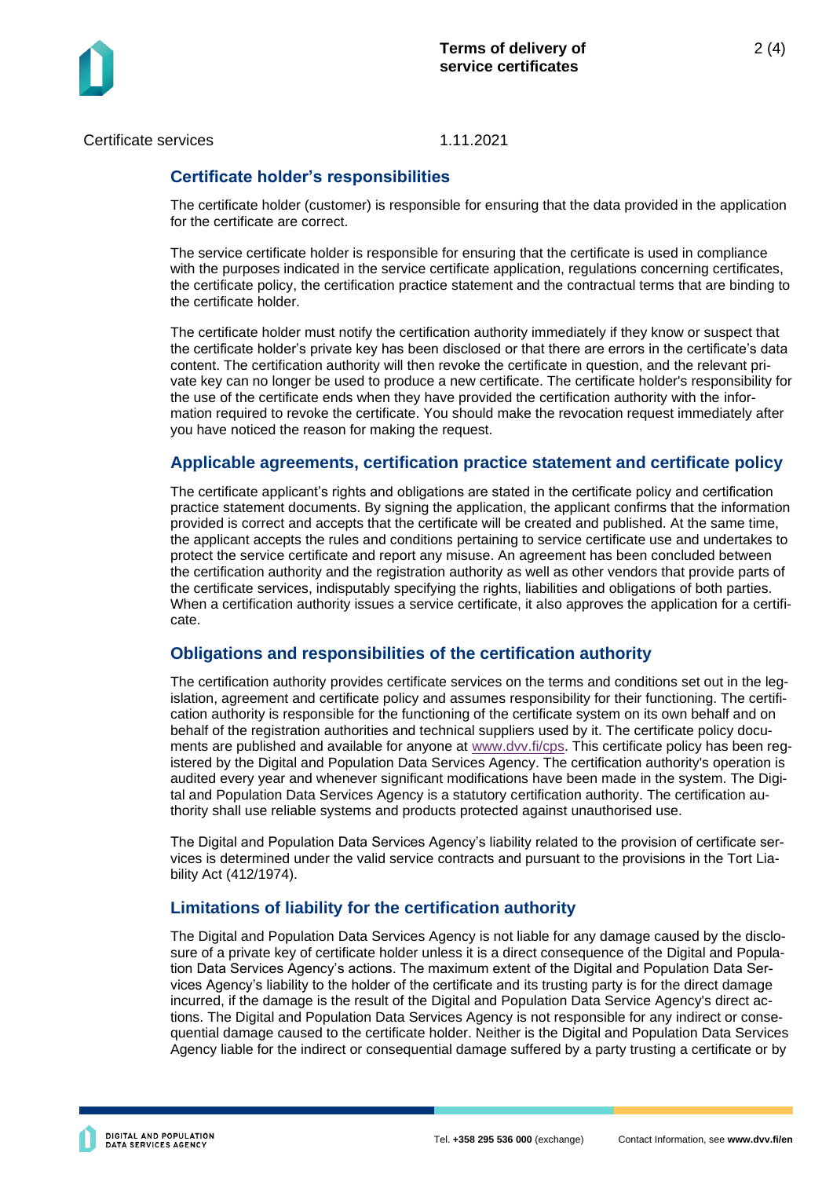

Certificate services 1.11.2021

## **Certificate holder's responsibilities**

The certificate holder (customer) is responsible for ensuring that the data provided in the application for the certificate are correct.

The service certificate holder is responsible for ensuring that the certificate is used in compliance with the purposes indicated in the service certificate application, regulations concerning certificates, the certificate policy, the certification practice statement and the contractual terms that are binding to the certificate holder.

The certificate holder must notify the certification authority immediately if they know or suspect that the certificate holder's private key has been disclosed or that there are errors in the certificate's data content. The certification authority will then revoke the certificate in question, and the relevant private key can no longer be used to produce a new certificate. The certificate holder's responsibility for the use of the certificate ends when they have provided the certification authority with the information required to revoke the certificate. You should make the revocation request immediately after you have noticed the reason for making the request.

#### **Applicable agreements, certification practice statement and certificate policy**

The certificate applicant's rights and obligations are stated in the certificate policy and certification practice statement documents. By signing the application, the applicant confirms that the information provided is correct and accepts that the certificate will be created and published. At the same time, the applicant accepts the rules and conditions pertaining to service certificate use and undertakes to protect the service certificate and report any misuse. An agreement has been concluded between the certification authority and the registration authority as well as other vendors that provide parts of the certificate services, indisputably specifying the rights, liabilities and obligations of both parties. When a certification authority issues a service certificate, it also approves the application for a certificate.

#### **Obligations and responsibilities of the certification authority**

The certification authority provides certificate services on the terms and conditions set out in the legislation, agreement and certificate policy and assumes responsibility for their functioning. The certification authority is responsible for the functioning of the certificate system on its own behalf and on behalf of the registration authorities and technical suppliers used by it. The certificate policy documents are published and available for anyone at [www.dvv.fi/cps.](http://www.dvv.fi/cps) This certificate policy has been registered by the Digital and Population Data Services Agency. The certification authority's operation is audited every year and whenever significant modifications have been made in the system. The Digital and Population Data Services Agency is a statutory certification authority. The certification authority shall use reliable systems and products protected against unauthorised use.

The Digital and Population Data Services Agency's liability related to the provision of certificate services is determined under the valid service contracts and pursuant to the provisions in the Tort Liability Act (412/1974).

## **Limitations of liability for the certification authority**

The Digital and Population Data Services Agency is not liable for any damage caused by the disclosure of a private key of certificate holder unless it is a direct consequence of the Digital and Population Data Services Agency's actions. The maximum extent of the Digital and Population Data Services Agency's liability to the holder of the certificate and its trusting party is for the direct damage incurred, if the damage is the result of the Digital and Population Data Service Agency's direct actions. The Digital and Population Data Services Agency is not responsible for any indirect or consequential damage caused to the certificate holder. Neither is the Digital and Population Data Services Agency liable for the indirect or consequential damage suffered by a party trusting a certificate or by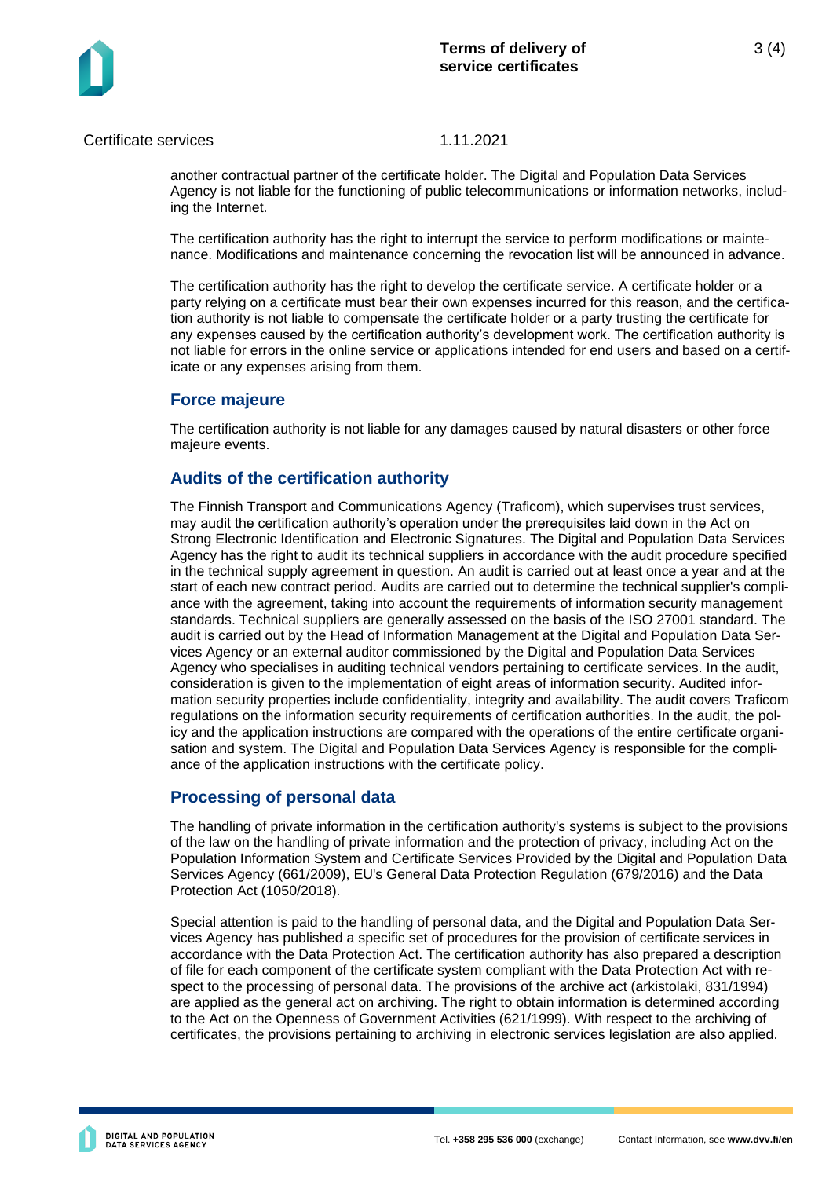3 (4)

Certificate services 1.11.2021

another contractual partner of the certificate holder. The Digital and Population Data Services Agency is not liable for the functioning of public telecommunications or information networks, including the Internet.

The certification authority has the right to interrupt the service to perform modifications or maintenance. Modifications and maintenance concerning the revocation list will be announced in advance.

The certification authority has the right to develop the certificate service. A certificate holder or a party relying on a certificate must bear their own expenses incurred for this reason, and the certification authority is not liable to compensate the certificate holder or a party trusting the certificate for any expenses caused by the certification authority's development work. The certification authority is not liable for errors in the online service or applications intended for end users and based on a certificate or any expenses arising from them.

## **Force majeure**

The certification authority is not liable for any damages caused by natural disasters or other force majeure events.

### **Audits of the certification authority**

The Finnish Transport and Communications Agency (Traficom), which supervises trust services, may audit the certification authority's operation under the prerequisites laid down in the Act on Strong Electronic Identification and Electronic Signatures. The Digital and Population Data Services Agency has the right to audit its technical suppliers in accordance with the audit procedure specified in the technical supply agreement in question. An audit is carried out at least once a year and at the start of each new contract period. Audits are carried out to determine the technical supplier's compliance with the agreement, taking into account the requirements of information security management standards. Technical suppliers are generally assessed on the basis of the ISO 27001 standard. The audit is carried out by the Head of Information Management at the Digital and Population Data Services Agency or an external auditor commissioned by the Digital and Population Data Services Agency who specialises in auditing technical vendors pertaining to certificate services. In the audit, consideration is given to the implementation of eight areas of information security. Audited information security properties include confidentiality, integrity and availability. The audit covers Traficom regulations on the information security requirements of certification authorities. In the audit, the policy and the application instructions are compared with the operations of the entire certificate organisation and system. The Digital and Population Data Services Agency is responsible for the compliance of the application instructions with the certificate policy.

#### **Processing of personal data**

The handling of private information in the certification authority's systems is subject to the provisions of the law on the handling of private information and the protection of privacy, including Act on the Population Information System and Certificate Services Provided by the Digital and Population Data Services Agency (661/2009), EU's General Data Protection Regulation (679/2016) and the Data Protection Act (1050/2018).

Special attention is paid to the handling of personal data, and the Digital and Population Data Services Agency has published a specific set of procedures for the provision of certificate services in accordance with the Data Protection Act. The certification authority has also prepared a description of file for each component of the certificate system compliant with the Data Protection Act with respect to the processing of personal data. The provisions of the archive act (arkistolaki, 831/1994) are applied as the general act on archiving. The right to obtain information is determined according to the Act on the Openness of Government Activities (621/1999). With respect to the archiving of certificates, the provisions pertaining to archiving in electronic services legislation are also applied.